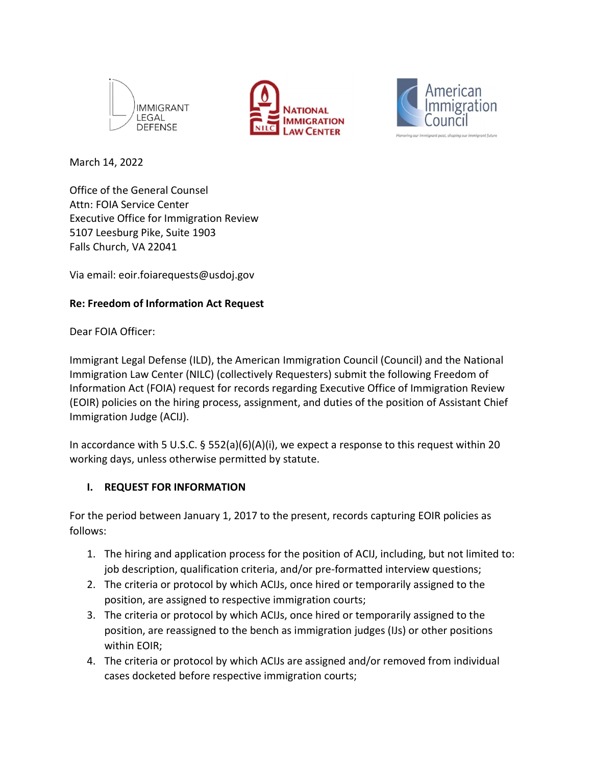





March 14, 2022

Office of the General Counsel Attn: FOIA Service Center Executive Office for Immigration Review 5107 Leesburg Pike, Suite 1903 Falls Church, VA 22041

Via email: eoir.foiarequests@usdoj.gov

#### **Re: Freedom of Information Act Request**

Dear FOIA Officer:

Immigrant Legal Defense (ILD), the American Immigration Council (Council) and the National Immigration Law Center (NILC) (collectively Requesters) submit the following Freedom of Information Act (FOIA) request for records regarding Executive Office of Immigration Review (EOIR) policies on the hiring process, assignment, and duties of the position of Assistant Chief Immigration Judge (ACIJ).

In accordance with 5 U.S.C.  $\S$  552(a)(6)(A)(i), we expect a response to this request within 20 working days, unless otherwise permitted by statute.

#### **I. REQUEST FOR INFORMATION**

For the period between January 1, 2017 to the present, records capturing EOIR policies as follows:

- 1. The hiring and application process for the position of ACIJ, including, but not limited to: job description, qualification criteria, and/or pre-formatted interview questions;
- 2. The criteria or protocol by which ACIJs, once hired or temporarily assigned to the position, are assigned to respective immigration courts;
- 3. The criteria or protocol by which ACIJs, once hired or temporarily assigned to the position, are reassigned to the bench as immigration judges (IJs) or other positions within EOIR;
- 4. The criteria or protocol by which ACIJs are assigned and/or removed from individual cases docketed before respective immigration courts;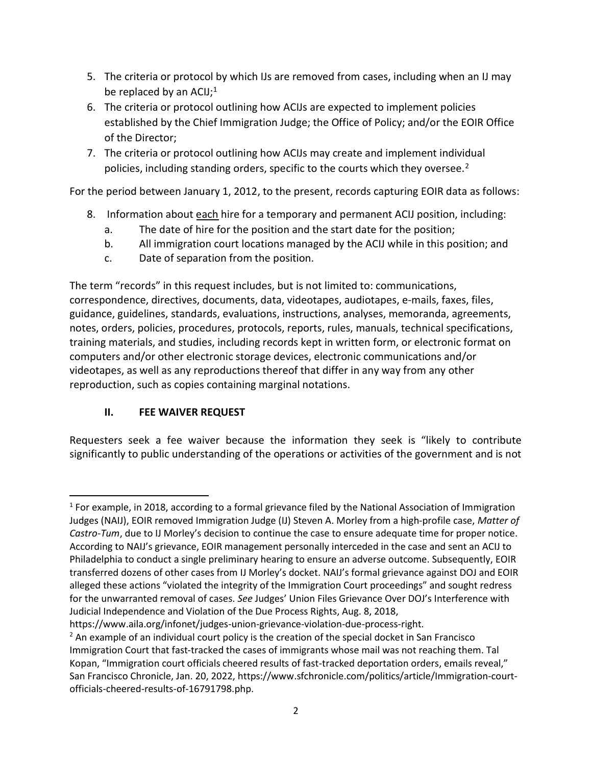- 5. The criteria or protocol by which IJs are removed from cases, including when an IJ may be replaced by an ACIJ; $<sup>1</sup>$ </sup>
- 6. The criteria or protocol outlining how ACIJs are expected to implement policies established by the Chief Immigration Judge; the Office of Policy; and/or the EOIR Office of the Director;
- 7. The criteria or protocol outlining how ACIJs may create and implement individual policies, including standing orders, specific to the courts which they oversee.<sup>2</sup>

For the period between January 1, 2012, to the present, records capturing EOIR data as follows:

- 8. Information about each hire for a temporary and permanent ACIJ position, including:
	- a. The date of hire for the position and the start date for the position;
	- b. All immigration court locations managed by the ACIJ while in this position; and
	- c. Date of separation from the position.

The term "records" in this request includes, but is not limited to: communications, correspondence, directives, documents, data, videotapes, audiotapes, emails, faxes, files, guidance, guidelines, standards, evaluations, instructions, analyses, memoranda, agreements, notes, orders, policies, procedures, protocols, reports, rules, manuals, technical specifications, training materials, and studies, including records kept in written form, or electronic format on computers and/or other electronic storage devices, electronic communications and/or videotapes, as well as any reproductions thereof that differ in any way from any other reproduction, such as copies containing marginal notations.

## **II. FEE WAIVER REQUEST**

Requesters seek a fee waiver because the information they seek is "likely to contribute significantly to public understanding of the operations or activities of the government and is not

https://www.aila.org/infonet/judges-union-grievance-violation-due-process-right.

<sup>&</sup>lt;sup>1</sup> For example, in 2018, according to a formal grievance filed by the National Association of Immigration Judges (NAIJ), EOIR removed Immigration Judge (IJ) Steven A. Morley from a high-profile case, Matter of *Castro-Tum*, due to IJ Morley's decision to continue the case to ensure adequate time for proper notice. According to NAIJ's grievance, EOIR management personally interceded in the case and sent an ACIJ to Philadelphia to conduct a single preliminary hearing to ensure an adverse outcome. Subsequently, EOIR transferred dozens of other cases from IJ Morley's docket. NAIJ's formal grievance against DOJ and EOIR alleged these actions "violated the integrity of the Immigration Court proceedings" and sought redress for the unwarranted removal of cases. *See* Judges' Union Files Grievance Over DOJ's Interference with Judicial Independence and Violation of the Due Process Rights, Aug. 8, 2018,

 $<sup>2</sup>$  An example of an individual court policy is the creation of the special docket in San Francisco</sup> Immigration Court that fast-tracked the cases of immigrants whose mail was not reaching them. Tal Kopan, "Immigration court officials cheered results of fast-tracked deportation orders, emails reveal," San Francisco Chronicle, Jan. 20, 2022, https://www.sfchronicle.com/politics/article/Immigration-courtofficials-cheered-results-of-16791798.php.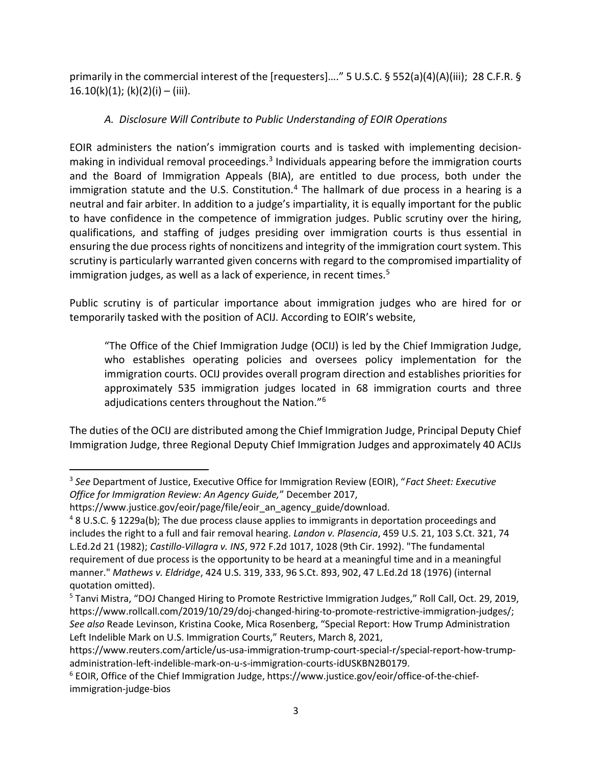primarily in the commercial interest of the [requesters]…." 5 U.S.C. § 552(a)(4)(A)(iii); 28 C.F.R. §  $16.10(k)(1)$ ; (k)(2)(i) – (iii).

# *A. Disclosure Will Contribute to Public Understanding of EOIR Operations*

EOIR administers the nation's immigration courts and is tasked with implementing decisionmaking in individual removal proceedings.<sup>3</sup> Individuals appearing before the immigration courts and the Board of Immigration Appeals (BIA), are entitled to due process, both under the immigration statute and the U.S. Constitution.<sup>4</sup> The hallmark of due process in a hearing is a neutral and fair arbiter. In addition to a judge's impartiality, it is equally important for the public to have confidence in the competence of immigration judges. Public scrutiny over the hiring, qualifications, and staffing of judges presiding over immigration courts is thus essential in ensuring the due process rights of noncitizens and integrity of the immigration court system. This scrutiny is particularly warranted given concerns with regard to the compromised impartiality of immigration judges, as well as a lack of experience, in recent times.<sup>5</sup>

Public scrutiny is of particular importance about immigration judges who are hired for or temporarily tasked with the position of ACIJ. According to EOIR's website,

 "The Office of the Chief Immigration Judge (OCIJ) is led by the Chief Immigration Judge, who establishes operating policies and oversees policy implementation for the immigration courts. OCIJ provides overall program direction and establishes priorities for approximately 535 immigration judges located in 68 immigration courts and three adjudications centers throughout the Nation."<sup>6</sup>

The duties of the OCIJ are distributed among the Chief Immigration Judge, Principal Deputy Chief Immigration Judge, three Regional Deputy Chief Immigration Judges and approximately 40 ACIJs

<sup>3</sup> *See* Department of Justice, Executive Office for Immigration Review (EOIR), "*Fact Sheet: Executive Office for Immigration Review: An Agency Guide,*" December 2017,

https://www.justice.gov/eoir/page/file/eoir\_an\_agency\_guide/download.

<sup>&</sup>lt;sup>4</sup> 8 U.S.C. § 1229a(b); The due process clause applies to immigrants in deportation proceedings and includes the right to a full and fair removal hearing. *Landon v. Plasencia*, 459 U.S. 21, 103 S.Ct. 321, 74 L.Ed.2d 21 (1982); *CastilloVillagra v. INS*, 972 F.2d 1017, 1028 (9th Cir. 1992). "The fundamental requirement of due process is the opportunity to be heard at a meaningful time and in a meaningful manner." *Mathews v. Eldridge*, 424 U.S. 319, 333, 96 S.Ct. 893, 902, 47 L.Ed.2d 18 (1976) (internal quotation omitted).

<sup>&</sup>lt;sup>5</sup> Tanvi Mistra, "DOJ Changed Hiring to Promote Restrictive Immigration Judges," Roll Call, Oct. 29, 2019, https://www.rollcall.com/2019/10/29/doj-changed-hiring-to-promote-restrictive-immigration-judges/; *See also* Reade Levinson, Kristina Cooke, Mica Rosenberg, "Special Report: How Trump Administration Left Indelible Mark on U.S. Immigration Courts," Reuters, March 8, 2021,

https://www.reuters.com/article/us-usa-immigration-trump-court-special-r/special-report-how-trumpadministration-left-indelible-mark-on-u-s-immigration-courts-idUSKBN2B0179.

<sup>&</sup>lt;sup>6</sup> EOIR, Office of the Chief Immigration Judge, https://www.justice.gov/eoir/office-of-the-chiefimmigration-judge-bios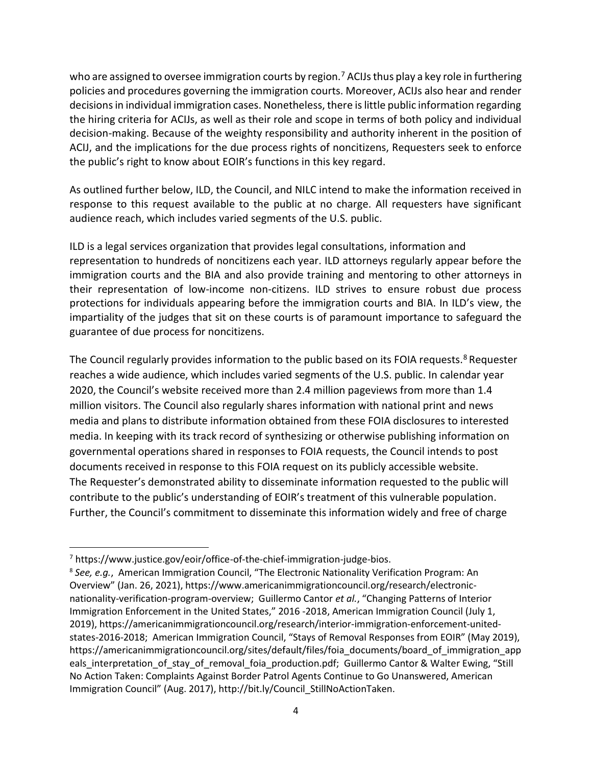who are assigned to oversee immigration courts by region.<sup>7</sup> ACIJs thus play a key role in furthering policies and procedures governing the immigration courts. Moreover, ACIJs also hear and render decisions in individual immigration cases. Nonetheless, there is little public information regarding the hiring criteria for ACIJs, as well as their role and scope in terms of both policy and individual decision-making. Because of the weighty responsibility and authority inherent in the position of ACIJ, and the implications for the due process rights of noncitizens, Requesters seek to enforce the public's right to know about EOIR's functions in this key regard.

As outlined further below, ILD, the Council, and NILC intend to make the information received in response to this request available to the public at no charge. All requesters have significant audience reach, which includes varied segments of the U.S. public.

ILD is a legal services organization that provides legal consultations, information and representation to hundreds of noncitizens each year. ILD attorneys regularly appear before the immigration courts and the BIA and also provide training and mentoring to other attorneys in their representation of low-income non-citizens. ILD strives to ensure robust due process protections for individuals appearing before the immigration courts and BIA. In ILD's view, the impartiality of the judges that sit on these courts is of paramount importance to safeguard the guarantee of due process for noncitizens.

The Council regularly provides information to the public based on its FOIA requests.<sup>8</sup> Requester reaches a wide audience, which includes varied segments of the U.S. public. In calendar year 2020, the Council's website received more than 2.4 million pageviews from more than 1.4 million visitors. The Council also regularly shares information with national print and news media and plans to distribute information obtained from these FOIA disclosures to interested media. In keeping with its track record of synthesizing or otherwise publishing information on governmental operations shared in responses to FOIA requests, the Council intends to post documents received in response to this FOIA request on its publicly accessible website. The Requester's demonstrated ability to disseminate information requested to the public will contribute to the public's understanding of EOIR's treatment of this vulnerable population. Further, the Council's commitment to disseminate this information widely and free of charge

 $^7$  https://www.justice.gov/eoir/office-of-the-chief-immigration-judge-bios.

<sup>8</sup> *See, e.g.*, American Immigration Council, "The Electronic Nationality Verification Program: An Overview" (Jan. 26, 2021), https://www.americanimmigrationcouncil.org/research/electronicnationality-verification-program-overview; Guillermo Cantor *et al.*, "Changing Patterns of Interior Immigration Enforcement in the United States," 2016 2018, American Immigration Council (July 1, 2019), https://americanimmigrationcouncil.org/research/interior-immigration-enforcement-unitedstates-2016-2018; American Immigration Council, "Stays of Removal Responses from EOIR" (May 2019), https://americanimmigrationcouncil.org/sites/default/files/foia documents/board of immigration app eals\_interpretation\_of\_stay\_of\_removal\_foia\_production.pdf; Guillermo Cantor & Walter Ewing, "Still No Action Taken: Complaints Against Border Patrol Agents Continue to Go Unanswered, American Immigration Council" (Aug. 2017), http://bit.ly/Council\_StillNoActionTaken.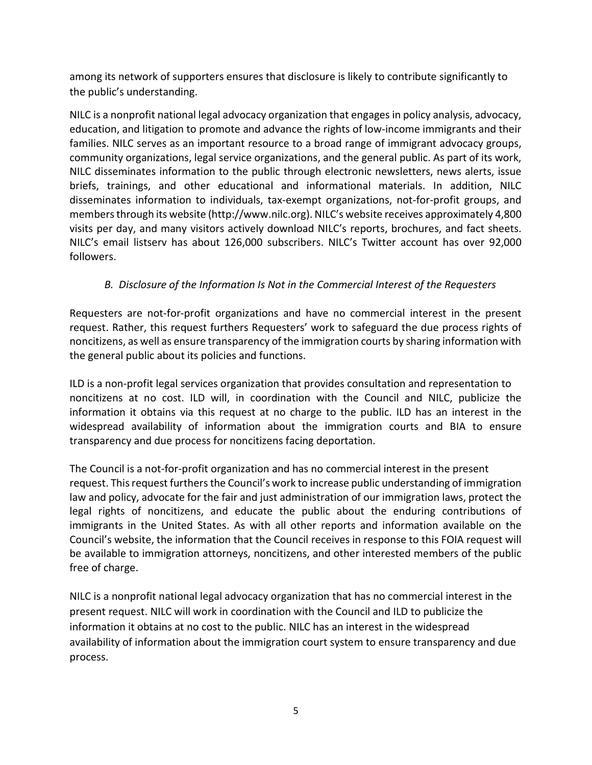among its network of supporters ensures that disclosure is likely to contribute significantly to the public's understanding.

NILC is a nonprofit national legal advocacy organization that engages in policy analysis, advocacy, education, and litigation to promote and advance the rights of low-income immigrants and their families. NILC serves as an important resource to a broad range of immigrant advocacy groups, community organizations, legal service organizations, and the general public. As part of its work, NILC disseminates information to the public through electronic newsletters, news alerts, issue briefs, trainings, and other educational and informational materials. In addition, NILC disseminates information to individuals, tax-exempt organizations, not-for-profit groups, and members through its website (http://www.nilc.org). NILC's website receives approximately 4,800 visits per day, and many visitors actively download NILC's reports, brochures, and fact sheets. NILC's email listserv has about 126,000 subscribers. NILC's Twitter account has over 92,000 followers.

## *B. Disclosure of the Information Is Not in the Commercial Interest of the Requesters*

Requesters are not-for-profit organizations and have no commercial interest in the present request. Rather, this request furthers Requesters' work to safeguard the due process rights of noncitizens, as well as ensure transparency of the immigration courts by sharing information with the general public about its policies and functions.

ILD is a non-profit legal services organization that provides consultation and representation to noncitizens at no cost. ILD will, in coordination with the Council and NILC, publicize the information it obtains via this request at no charge to the public. ILD has an interest in the widespread availability of information about the immigration courts and BIA to ensure transparency and due process for noncitizens facing deportation.

The Council is a not-for-profit organization and has no commercial interest in the present request. This request furthers the Council's work to increase public understanding of immigration law and policy, advocate for the fair and just administration of our immigration laws, protect the legal rights of noncitizens, and educate the public about the enduring contributions of immigrants in the United States. As with all other reports and information available on the Council's website, the information that the Council receives in response to this FOIA request will be available to immigration attorneys, noncitizens, and other interested members of the public free of charge.

NILC is a nonprofit national legal advocacy organization that has no commercial interest in the present request. NILC will work in coordination with the Council and ILD to publicize the information it obtains at no cost to the public. NILC has an interest in the widespread availability of information about the immigration court system to ensure transparency and due process.